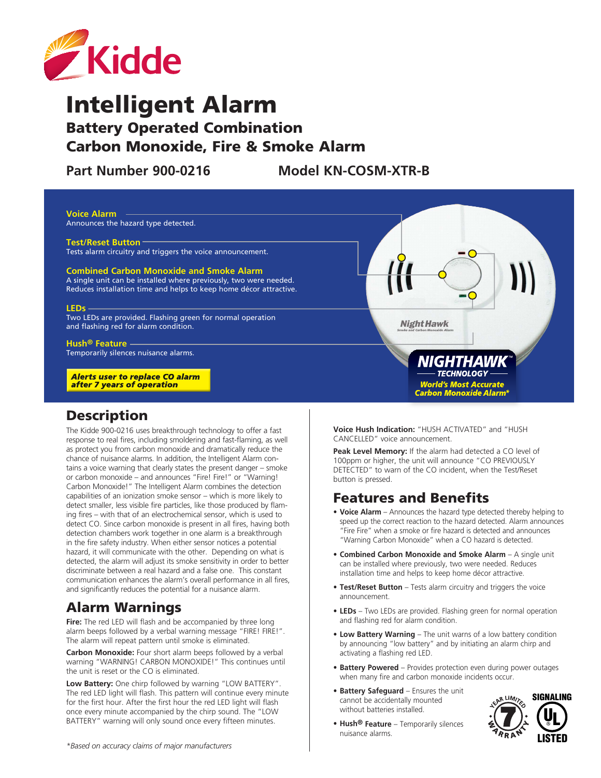

# Intelligent Alarm

# Battery Operated Combination Carbon Monoxide, Fire & Smoke Alarm

Part Number 900-0216 Model KN-COSM-XTR-B



#### **Description**

The Kidde 900-0216 uses breakthrough technology to offer a fast response to real fires, including smoldering and fast-flaming, as well as protect you from carbon monoxide and dramatically reduce the chance of nuisance alarms. In addition, the Intelligent Alarm contains a voice warning that clearly states the present danger – smoke or carbon monoxide – and announces "Fire! Fire!" or "Warning! Carbon Monoxide!" The Intelligent Alarm combines the detection capabilities of an ionization smoke sensor – which is more likely to detect smaller, less visible fire particles, like those produced by flaming fires – with that of an electrochemical sensor, which is used to detect CO. Since carbon monoxide is present in all fires, having both detection chambers work together in one alarm is a breakthrough in the fire safety industry. When either sensor notices a potential hazard, it will communicate with the other. Depending on what is detected, the alarm will adjust its smoke sensitivity in order to better discriminate between a real hazard and a false one. This constant communication enhances the alarm's overall performance in all fires, and significantly reduces the potential for a nuisance alarm.

# Alarm Warnings

**Fire:** The red LED will flash and be accompanied by three long alarm beeps followed by a verbal warning message "FIRE! FIRE!". The alarm will repeat pattern until smoke is eliminated.

**Carbon Monoxide:** Four short alarm beeps followed by a verbal warning "WARNING! CARBON MONOXIDE!" This continues until the unit is reset or the CO is eliminated.

**Low Battery:** One chirp followed by warning "LOW BATTERY". The red LED light will flash. This pattern will continue every minute for the first hour. After the first hour the red LED light will flash once every minute accompanied by the chirp sound. The "LOW BATTERY" warning will only sound once every fifteen minutes.

**Voice Hush Indication:** "HUSH ACTIVATED" and "HUSH CANCELLED" voice announcement.

**Peak Level Memory:** If the alarm had detected a CO level of 100ppm or higher, the unit will announce "CO PREVIOUSLY DETECTED" to warn of the CO incident, when the Test/Reset button is pressed.

### Features and Benefits

- **• Voice Alarm** Announces the hazard type detected thereby helping to speed up the correct reaction to the hazard detected. Alarm announces "Fire Fire" when a smoke or fire hazard is detected and announces "Warning Carbon Monoxide" when a CO hazard is detected.
- **• Combined Carbon Monoxide and Smoke Alarm** A single unit can be installed where previously, two were needed. Reduces installation time and helps to keep home décor attractive.
- **Test/Reset Button** Tests alarm circuitry and triggers the voice announcement.
- **LEDs** Two LEDs are provided. Flashing green for normal operation and flashing red for alarm condition.
- **• Low Battery Warning** The unit warns of a low battery condition by announcing "low battery" and by initiating an alarm chirp and activating a flashing red LED.
- **Battery Powered** Provides protection even during power outages when many fire and carbon monoxide incidents occur.
- **• Battery Safeguard** Ensures the unit cannot be accidentally mounted without batteries installed.



**• Hush® Feature** – Temporarily silences nuisance alarms.